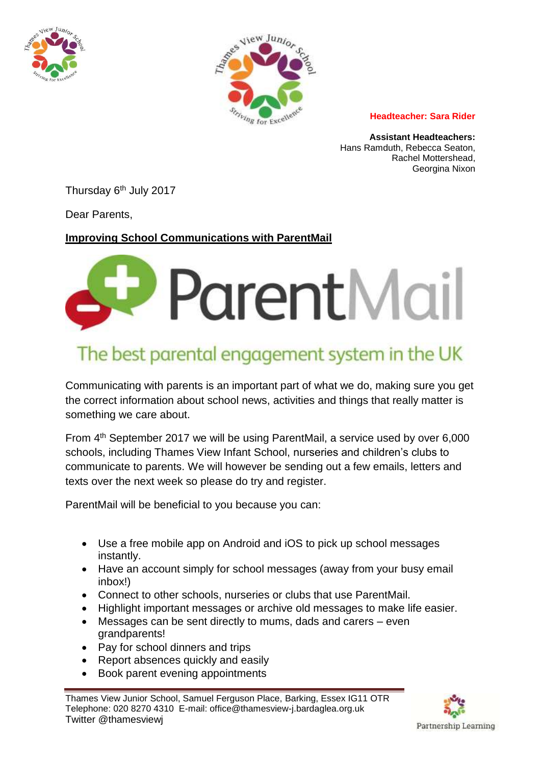



**Headteacher: Sara Rider**

**Assistant Headteachers:** Hans Ramduth, Rebecca Seaton, Rachel Mottershead, Georgina Nixon

Thursday 6<sup>th</sup> July 2017

Dear Parents,

## **Improving School Communications with ParentMail**



## The best parental engagement system in the UK

Communicating with parents is an important part of what we do, making sure you get the correct information about school news, activities and things that really matter is something we care about.

From 4<sup>th</sup> September 2017 we will be using ParentMail, a service used by over 6,000 schools, including Thames View Infant School, nurseries and children's clubs to communicate to parents. We will however be sending out a few emails, letters and texts over the next week so please do try and register.

ParentMail will be beneficial to you because you can:

- Use a free mobile app on Android and iOS to pick up school messages instantly.
- Have an account simply for school messages (away from your busy email inbox!)
- Connect to other schools, nurseries or clubs that use ParentMail.
- Highlight important messages or archive old messages to make life easier.
- Messages can be sent directly to mums, dads and carers even grandparents!
- Pay for school dinners and trips
- Report absences quickly and easily
- Book parent evening appointments